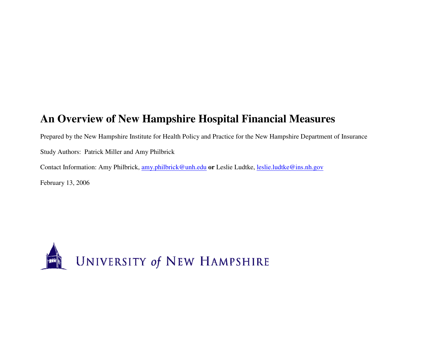Prepared by the New Hampshire Institute for Health Policy and Practice for the New Hampshire Department of Insurance Study Authors: Patrick Miller and Amy Philbrick Contact Information: Amy Philbrick, amy.philbrick@unh.edu **or** Leslie Ludtke, leslie.ludtke@ins.nh.gov February 13, 2006

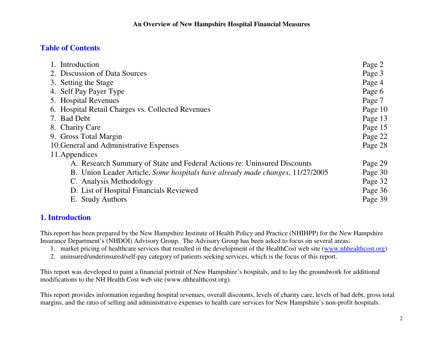# **Table of Contents**

| 1. Introduction                                                               | Page 2  |
|-------------------------------------------------------------------------------|---------|
| 2. Discussion of Data Sources                                                 | Page 3  |
| 3. Setting the Stage                                                          | Page 4  |
| 4. Self Pay Payer Type                                                        | Page 6  |
| 5. Hospital Revenues                                                          | Page 7  |
| 6. Hospital Retail Charges vs. Collected Revenues                             | Page 10 |
| 7. Bad Debt                                                                   | Page 13 |
| 8. Charity Care                                                               | Page 15 |
| 9. Gross Total Margin                                                         | Page 22 |
| 10. General and Administrative Expenses                                       | Page 28 |
| 11. Appendices                                                                |         |
| A. Research Summary of State and Federal Actions re: Uninsured Discounts      | Page 29 |
| B. Union Leader Article, Some hospitals have already made changes, 11/27/2005 | Page 30 |
| C. Analysis Methodology                                                       | Page 32 |
| D. List of Hospital Financials Reviewed                                       | Page 36 |
| E. Study Authors                                                              | Page 39 |
|                                                                               |         |

# **1. Introduction**

This report has been prepared by the New Hampshire Institute of Health Policy and Practice (NHIHPP) for the New Hampshire Insurance Department's (NHDOI) Advisory Group. The Advisory Group has been asked to focus on several areas:

- 1. market pricing of healthcare services that resulted in the development of the HealthCost web site (www.nhhealthcost.org)
- 2. uninsured/underinsured/self-pay category of patients seeking services, which is the focus of this report.

This report was developed to paint a financial portrait of New Hampshire's hospitals, and to lay the groundwork for additional modifications to the NH Health Cost web site (www.nhhealthcost.org).

This report provides information regarding hospital revenues, overall discounts, levels of charity care, levels of bad debt, gross total margins, and the ratio of selling and administrative expenses to health care services for New Hampshire's non-profit hospitals.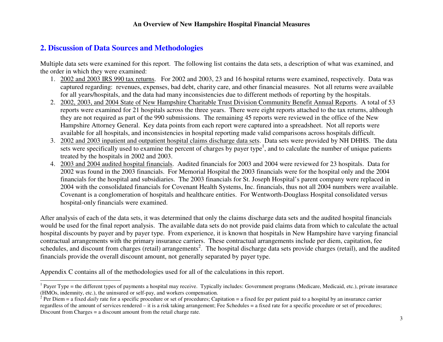# **2. Discussion of Data Sources and Methodologies**

Multiple data sets were examined for this report. The following list contains the data sets, a description of what was examined, and the order in which they were examined:

- 1. 2002 and 2003 IRS 990 tax returns. For 2002 and 2003, 23 and 16 hospital returns were examined, respectively. Data was captured regarding: revenues, expenses, bad debt, charity care, and other financial measures. Not all returns were available for all years/hospitals, and the data had many inconsistencies due to different methods of reporting by the hospitals.
- 2. 2002, 2003, and 2004 State of New Hampshire Charitable Trust Division Community Benefit Annual Reports. A total of 53 reports were examined for 21 hospitals across the three years. There were eight reports attached to the tax returns, although they are not required as part of the 990 submissions. The remaining 45 reports were reviewed in the office of the New Hampshire Attorney General. Key data points from each report were captured into a spreadsheet. Not all reports were available for all hospitals, and inconsistencies in hospital reporting made valid comparisons across hospitals difficult.
- 3. 2002 and 2003 inpatient and outpatient hospital claims discharge data sets. Data sets were provided by NH DHHS. The data sets were specifically used to examine the percent of charges by payer type<sup>1</sup>, and to calculate the number of unique patients treated by the hospitals in 2002 and 2003.
- 4. 2003 and 2004 audited hospital financials. Audited financials for 2003 and 2004 were reviewed for 23 hospitals. Data for 2002 was found in the 2003 financials. For Memorial Hospital the 2003 financials were for the hospital only and the 2004 financials for the hospital and subsidiaries. The 2003 financials for St. Joseph Hospital's parent company were replaced in 2004 with the consolidated financials for Covenant Health Systems, Inc. financials, thus not all 2004 numbers were available. Covenant is a conglomeration of hospitals and healthcare entities. For Wentworth-Douglass Hospital consolidated versus hospital-only financials were examined.

After analysis of each of the data sets, it was determined that only the claims discharge data sets and the audited hospital financials would be used for the final report analysis. The available data sets do not provide paid claims data from which to calculate the actual hospital discounts by payer and by payer type. From experience, it is known that hospitals in New Hampshire have varying financial contractual arrangements with the primary insurance carriers. These contractual arrangements include per diem, capitation, fee schedules, and discount from charges (retail) arrangements<sup>2</sup>. The hospital discharge data sets provide charges (retail), and the audited financials provide the overall discount amount, not generally separated by payer type.

Appendix C contains all of the methodologies used for all of the calculations in this report.

<sup>&</sup>lt;sup>1</sup> Payer Type = the different types of payments a hospital may receive. Typically includes: Government programs (Medicare, Medicaid, etc.), private insurance (HMOs, indemnity, etc.), the uninsured or self-pay, and workers compensation.

 $2^2$  Per Diem = a fixed *daily* rate for a specific procedure or set of procedures; Capitation = a fixed fee per patient paid to a hospital by an insurance carrier regardless of the amount of services rendered – it is a risk taking arrangement; Fee Schedules = a fixed rate for a specific procedure or set of procedures; Discount from Charges = a discount amount from the retail charge rate.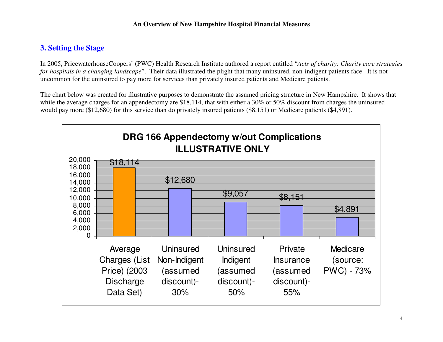# **3. Setting the Stage**

In 2005, PricewaterhouseCoopers' (PWC) Health Research Institute authored a report entitled "*Acts of charity; Charity care strategies for hospitals in a changing landscape*". Their data illustrated the plight that many uninsured, non-indigent patients face. It is not uncommon for the uninsured to pay more for services than privately insured patients and Medicare patients.

The chart below was created for illustrative purposes to demonstrate the assumed pricing structure in New Hampshire. It shows that while the average charges for an appendectomy are \$18,114, that with either a 30% or 50% discount from charges the uninsured would pay more (\$12,680) for this service than do privately insured patients (\$8,151) or Medicare patients (\$4,891).

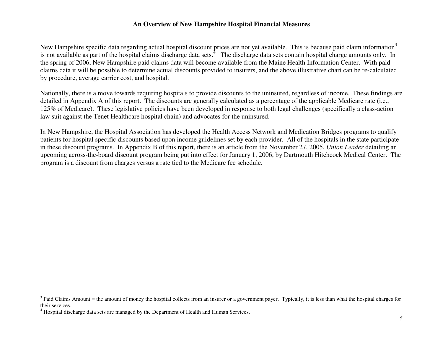New Hampshire specific data regarding actual hospital discount prices are not yet available. This is because paid claim information<sup>3</sup> is not available as part of the hospital claims discharge data sets.<sup>4</sup> The discharge data sets contain hospital charge amounts only. In the spring of 2006, New Hampshire paid claims data will become available from the Maine Health Information Center. With paid claims data it will be possible to determine actual discounts provided to insurers, and the above illustrative chart can be re-calculated by procedure, average carrier cost, and hospital.

Nationally, there is a move towards requiring hospitals to provide discounts to the uninsured, regardless of income. These findings are detailed in Appendix A of this report. The discounts are generally calculated as a percentage of the applicable Medicare rate (i.e., 125% of Medicare). These legislative policies have been developed in response to both legal challenges (specifically a class-action law suit against the Tenet Healthcare hospital chain) and advocates for the uninsured.

In New Hampshire, the Hospital Association has developed the Health Access Network and Medication Bridges programs to qualify patients for hospital specific discounts based upon income guidelines set by each provider. All of the hospitals in the state participate in these discount programs. In Appendix B of this report, there is an article from the November 27, 2005, *Union Leader* detailing an upcoming across-the-board discount program being put into effect for January 1, 2006, by Dartmouth Hitchcock Medical Center. The program is a discount from charges versus a rate tied to the Medicare fee schedule.

 $3$  Paid Claims Amount = the amount of money the hospital collects from an insurer or a government payer. Typically, it is less than what the hospital charges for their services.

<sup>&</sup>lt;sup>4</sup> Hospital discharge data sets are managed by the Department of Health and Human Services.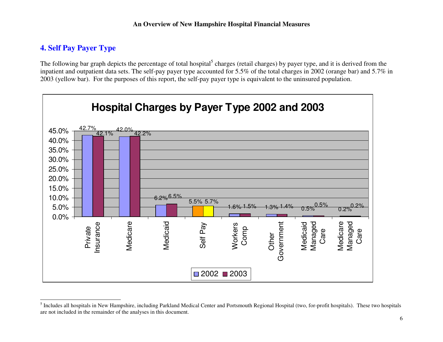# **4. Self Pay Payer Type**

The following bar graph depicts the percentage of total hospital<sup>5</sup> charges (retail charges) by payer type, and it is derived from the inpatient and outpatient data sets. The self-pay payer type accounted for 5.5% of the total charges in 2002 (orange bar) and 5.7% in 2003 (yellow bar). For the purposes of this report, the self-pay payer type is equivalent to the uninsured population.



<sup>&</sup>lt;sup>5</sup> Includes all hospitals in New Hampshire, including Parkland Medical Center and Portsmouth Regional Hospital (two, for-profit hospitals). These two hospitals are not included in the remainder of the analyses in this document.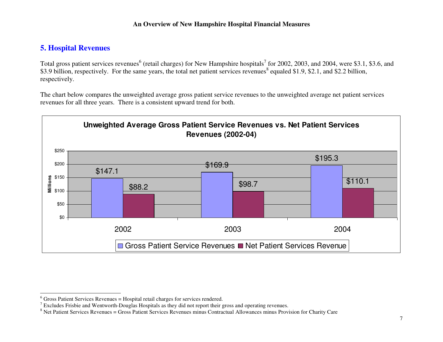# **5. Hospital Revenues**

Total gross patient services revenues<sup>6</sup> (retail charges) for New Hampshire hospitals<sup>7</sup> for 2002, 2003, and 2004, were \$3.1, \$3.6, and \$3.9 billion, respectively. For the same years, the total net patient services revenues<sup>8</sup> equaled \$1.9, \$2.1, and \$2.2 billion, respectively.

The chart below compares the unweighted average gross patient service revenues to the unweighted average net patient services revenues for all three years. There is a consistent upward trend for both.



 $6$  Gross Patient Services Revenues = Hospital retail charges for services rendered.

 $7$  Excludes Frisbie and Wentworth-Douglas Hospitals as they did not report their gross and operating revenues.

 $8$  Net Patient Services Revenues = Gross Patient Services Revenues minus Contractual Allowances minus Provision for Charity Care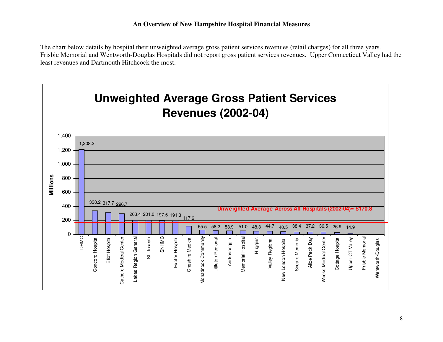The chart below details by hospital their unweighted average gross patient services revenues (retail charges) for all three years. Frisbie Memorial and Wentworth-Douglas Hospitals did not report gross patient services revenues. Upper Connecticut Valley had the least revenues and Dartmouth Hitchcock the most.

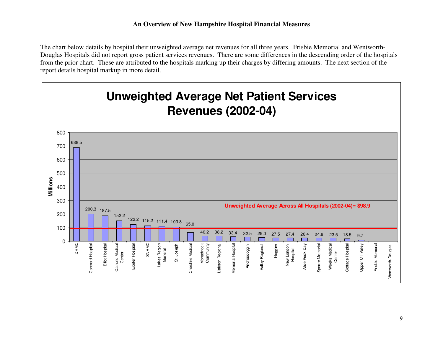The chart below details by hospital their unweighted average net revenues for all three years. Frisbie Memorial and Wentworth-Douglas Hospitals did not report gross patient services revenues. There are some differences in the descending order of the hospitals from the prior chart. These are attributed to the hospitals marking up their charges by differing amounts. The next section of the report details hospital markup in more detail.

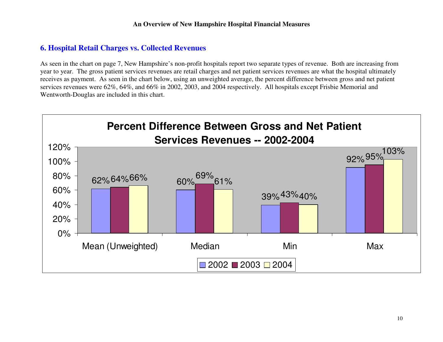# **6. Hospital Retail Charges vs. Collected Revenues**

As seen in the chart on page 7, New Hampshire's non-profit hospitals report two separate types of revenue. Both are increasing from year to year. The gross patient services revenues are retail charges and net patient services revenues are what the hospital ultimately receives as payment. As seen in the chart below, using an unweighted average, the percent difference between gross and net patient services revenues were 62%, 64%, and 66% in 2002, 2003, and 2004 respectively. All hospitals except Frisbie Memorial and Wentworth-Douglas are included in this chart.

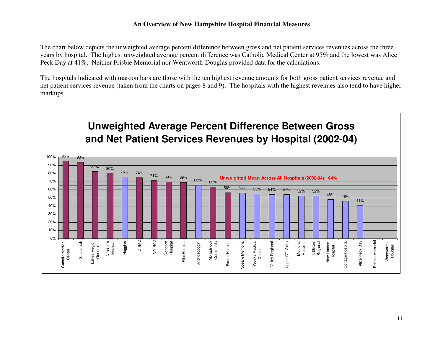The chart below depicts the unweighted average percent difference between gross and net patient services revenues across the three years by hospital. The highest unweighted average percent difference was Catholic Medical Center at 95% and the lowest was Alice Peck Day at 41%. Neither Frisbie Memorial nor Wentworth-Douglas provided data for the calculations.

The hospitals indicated with maroon bars are those with the ten highest revenue amounts for both gross patient services revenue and net patient services revenue (taken from the charts on pages 8 and 9). The hospitals with the highest revenues also tend to have higher markups.

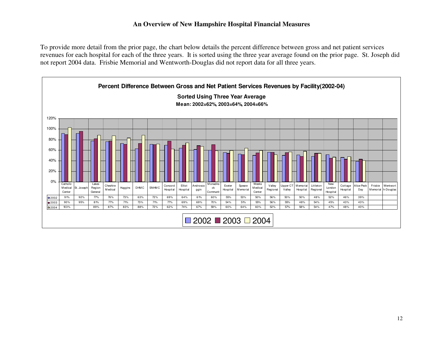To provide more detail from the prior page, the chart below details the percent difference between gross and net patient services revenues for each hospital for each of the three years. It is sorted using the three year average found on the prior page. St. Joseph did not report 2004 data. Frisbie Memorial and Wentworth-Douglas did not report data for all three years.

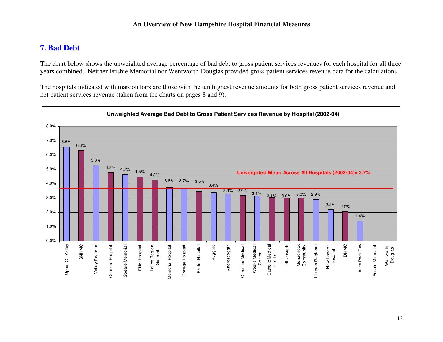# **7. Bad Debt**

The chart below shows the unweighted average percentage of bad debt to gross patient services revenues for each hospital for all three years combined. Neither Frisbie Memorial nor Wentworth-Douglas provided gross patient services revenue data for the calculations.

The hospitals indicated with maroon bars are those with the ten highest revenue amounts for both gross patient services revenue and net patient services revenue (taken from the charts on pages 8 and 9).

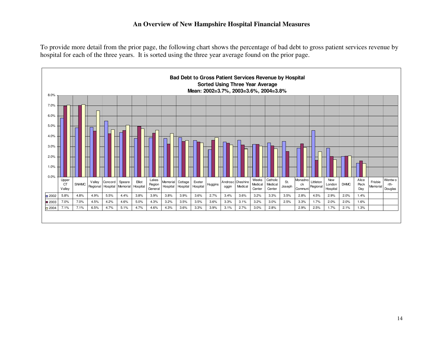To provide more detail from the prior page, the following chart shows the percentage of bad debt to gross patient services revenue by hospital for each of the three years. It is sorted using the three year average found on the prior page.

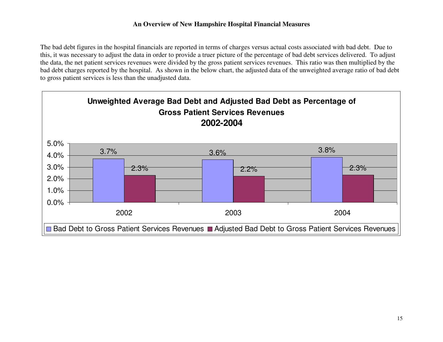The bad debt figures in the hospital financials are reported in terms of charges versus actual costs associated with bad debt. Due to this, it was necessary to adjust the data in order to provide a truer picture of the percentage of bad debt services delivered. To adjust the data, the net patient services revenues were divided by the gross patient services revenues. This ratio was then multiplied by the bad debt charges reported by the hospital. As shown in the below chart, the adjusted data of the unweighted average ratio of bad debt to gross patient services is less than the unadjusted data.

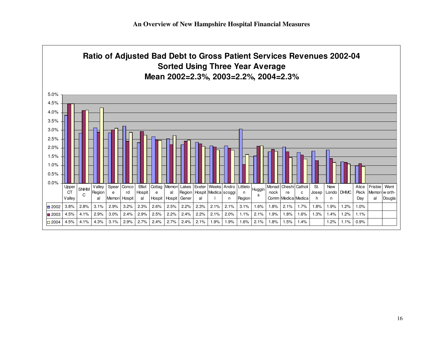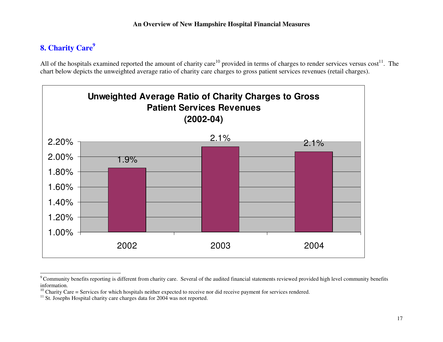# **8. Charity Care9**

All of the hospitals examined reported the amount of charity care<sup>10</sup> provided in terms of charges to render services versus cost<sup>11</sup>. The chart below depicts the unweighted average ratio of charity care charges to gross patient services revenues (retail charges).



<sup>&</sup>lt;sup>9</sup> Community benefits reporting is different from charity care. Several of the audited financial statements reviewed provided high level community benefits information.

 $10$  Charity Care = Services for which hospitals neither expected to receive nor did receive payment for services rendered.

 $11$  St. Josephs Hospital charity care charges data for 2004 was not reported.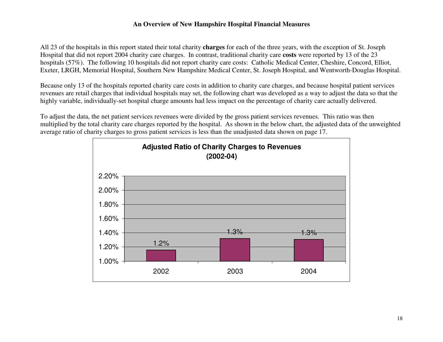All 23 of the hospitals in this report stated their total charity **charges** for each of the three years, with the exception of St. Joseph Hospital that did not report 2004 charity care charges. In contrast, traditional charity care **costs** were reported by 13 of the 23 hospitals (57%). The following 10 hospitals did not report charity care costs: Catholic Medical Center, Cheshire, Concord, Elliot, Exeter, LRGH, Memorial Hospital, Southern New Hampshire Medical Center, St. Joseph Hospital, and Wentworth-Douglas Hospital.

Because only 13 of the hospitals reported charity care costs in addition to charity care charges, and because hospital patient services revenues are retail charges that individual hospitals may set, the following chart was developed as a way to adjust the data so that the highly variable, individually-set hospital charge amounts had less impact on the percentage of charity care actually delivered.

To adjust the data, the net patient services revenues were divided by the gross patient services revenues. This ratio was then multiplied by the total charity care charges reported by the hospital. As shown in the below chart, the adjusted data of the unweighted average ratio of charity charges to gross patient services is less than the unadjusted data shown on page 17.

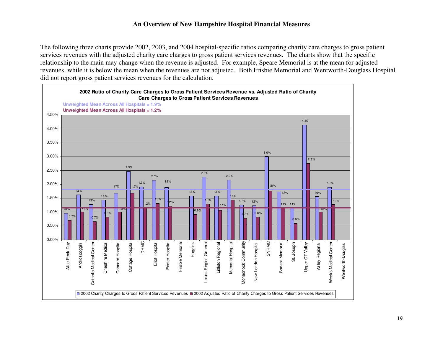The following three charts provide 2002, 2003, and 2004 hospital-specific ratios comparing charity care charges to gross patient services revenues with the adjusted charity care charges to gross patient services revenues. The charts show that the specific relationship to the main may change when the revenue is adjusted. For example, Speare Memorial is at the mean for adjusted revenues, while it is below the mean when the revenues are not adjusted. Both Frisbie Memorial and Wentworth-Douglass Hospital did not report gross patient services revenues for the calculation.

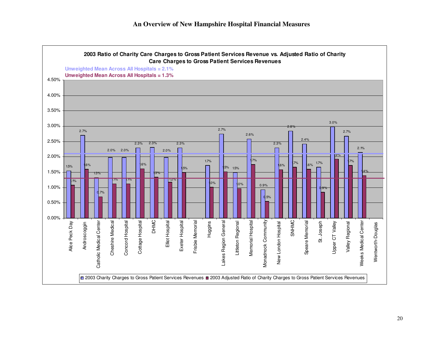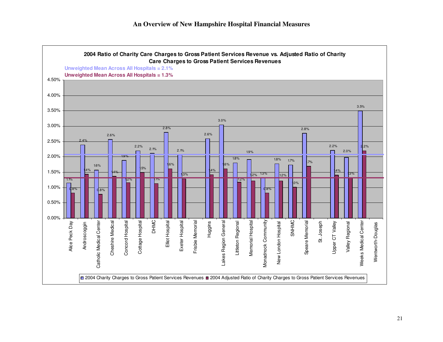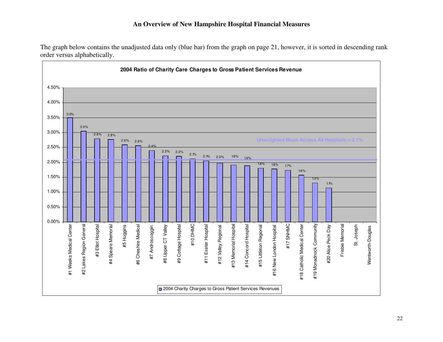The graph below contains the unadjusted data only (blue bar) from the graph on page 21, however, it is sorted in descending rank order versus alphabetically.

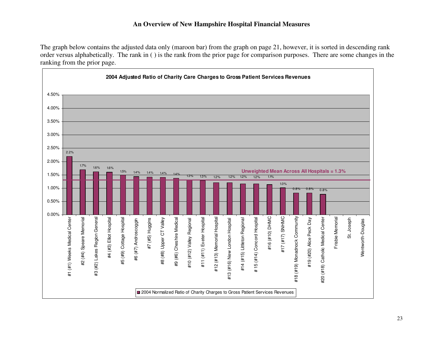The graph below contains the adjusted data only (maroon bar) from the graph on page 21, however, it is sorted in descending rank order versus alphabetically. The rank in ( ) is the rank from the prior page for comparison purposes. There are some changes in the ranking from the prior page.

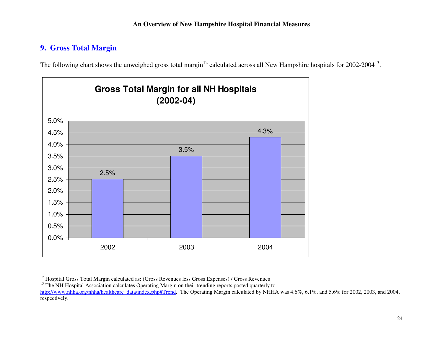# **9. Gross Total Margin**

The following chart shows the unweighed gross total margin<sup>12</sup> calculated across all New Hampshire hospitals for  $2002-2004^{13}$ .



<sup>&</sup>lt;sup>12</sup> Hospital Gross Total Margin calculated as: (Gross Revenues less Gross Expenses) / Gross Revenues

<sup>&</sup>lt;sup>13</sup> The NH Hospital Association calculates Operating Margin on their trending reports posted quarterly to

http://www.nhha.org/nhha/healthcare\_data/index.php#Trend. The Operating Margin calculated by NHHA was 4.6%, 6.1%, and 5.6% for 2002, 2003, and 2004, respectively.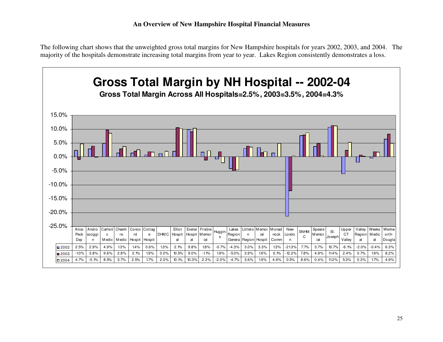The following chart shows that the unweighted gross total margins for New Hampshire hospitals for years 2002, 2003, and 2004. The majority of the hospitals demonstrate increasing total margins from year to year. Lakes Region consistently demonstrates a loss.

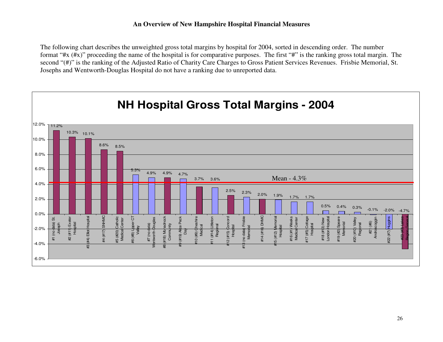The following chart describes the unweighted gross total margins by hospital for 2004, sorted in descending order. The number format "#x (#x)" proceeding the name of the hospital is for comparative purposes. The first "#" is the ranking gross total margin. The second "(#)" is the ranking of the Adjusted Ratio of Charity Care Charges to Gross Patient Services Revenues. Frisbie Memorial, St. Josephs and Wentworth-Douglas Hospital do not have a ranking due to unreported data.

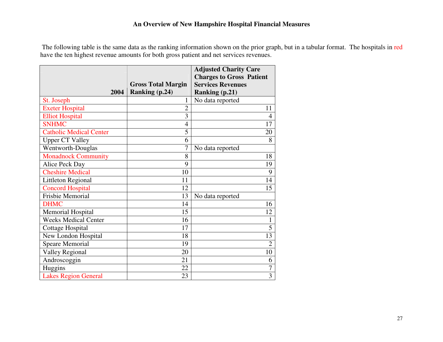The following table is the same data as the ranking information shown on the prior graph, but in a tabular format. The hospitals in redhave the ten highest revenue amounts for both gross patient and net services revenues.

|                                |                           | <b>Adjusted Charity Care</b><br><b>Charges to Gross Patient</b> |
|--------------------------------|---------------------------|-----------------------------------------------------------------|
|                                | <b>Gross Total Margin</b> | <b>Services Revenues</b>                                        |
| 2004                           | Ranking (p.24)            | <b>Ranking (p.21)</b>                                           |
| St. Joseph                     | 1                         | No data reported                                                |
| <b>Exeter Hospital</b>         | $\overline{2}$            | 11                                                              |
| <b>Elliot Hospital</b>         | 3                         | $\overline{4}$                                                  |
| <b>SNHMC</b>                   | 4                         | 17                                                              |
| <b>Catholic Medical Center</b> | 5                         | 20                                                              |
| <b>Upper CT Valley</b>         | 6                         | 8                                                               |
| Wentworth-Douglas              | $\overline{7}$            | No data reported                                                |
| <b>Monadnock Community</b>     | 8                         | 18                                                              |
| Alice Peck Day                 | 9                         | 19                                                              |
| <b>Cheshire Medical</b>        | 10                        | 9                                                               |
| <b>Littleton Regional</b>      | 11                        | 14                                                              |
| <b>Concord Hospital</b>        | 12                        | 15                                                              |
| Frisbie Memorial               | 13                        | No data reported                                                |
| <b>DHMC</b>                    | 14                        | 16                                                              |
| <b>Memorial Hospital</b>       | 15                        | 12                                                              |
| <b>Weeks Medical Center</b>    | 16                        | $\mathbf{1}$                                                    |
| <b>Cottage Hospital</b>        | 17                        | 5                                                               |
| New London Hospital            | 18                        | 13                                                              |
| <b>Speare Memorial</b>         | 19                        | $\overline{2}$                                                  |
| <b>Valley Regional</b>         | 20                        | 10                                                              |
| Androscoggin                   | 21                        | 6                                                               |
| Huggins                        | 22                        | $\overline{7}$                                                  |
| <b>Lakes Region General</b>    | 23                        | 3                                                               |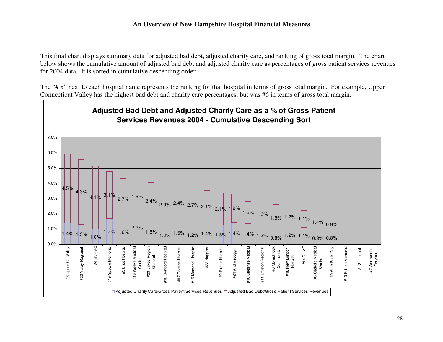This final chart displays summary data for adjusted bad debt, adjusted charity care, and ranking of gross total margin. The chart below shows the cumulative amount of adjusted bad debt and adjusted charity care as percentages of gross patient services revenues for 2004 data. It is sorted in cumulative descending order.

The "# x" next to each hospital name represents the ranking for that hospital in terms of gross total margin. For example, Upper Connecticut Valley has the highest bad debt and charity care percentages, but was #6 in terms of gross total margin.

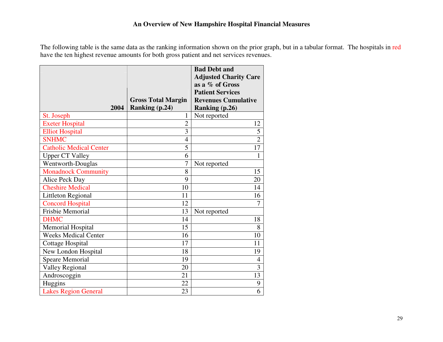The following table is the same data as the ranking information shown on the prior graph, but in a tabular format. The hospitals in red have the ten highest revenue amounts for both gross patient and net services revenues.

|                                |                           | <b>Bad Debt and</b><br><b>Adjusted Charity Care</b> |
|--------------------------------|---------------------------|-----------------------------------------------------|
|                                |                           | as a % of Gross                                     |
|                                |                           | <b>Patient Services</b>                             |
|                                | <b>Gross Total Margin</b> | <b>Revenues Cumulative</b>                          |
| 2004                           | Ranking (p.24)            | <b>Ranking (p.26)</b>                               |
| St. Joseph                     | 1                         | Not reported                                        |
| <b>Exeter Hospital</b>         | $\overline{2}$            | 12                                                  |
| <b>Elliot Hospital</b>         | 3                         | 5                                                   |
| <b>SNHMC</b>                   | $\overline{4}$            | $\overline{2}$                                      |
| <b>Catholic Medical Center</b> | 5                         | 17                                                  |
| <b>Upper CT Valley</b>         | 6                         | $\mathbf{1}$                                        |
| Wentworth-Douglas              | $\overline{7}$            | Not reported                                        |
| <b>Monadnock Community</b>     | 8                         | 15                                                  |
| Alice Peck Day                 | 9                         | 20                                                  |
| <b>Cheshire Medical</b>        | 10                        | 14                                                  |
| <b>Littleton Regional</b>      | 11                        | 16                                                  |
| <b>Concord Hospital</b>        | 12                        | 7                                                   |
| <b>Frisbie Memorial</b>        | 13                        | Not reported                                        |
| <b>DHMC</b>                    | 14                        | 18                                                  |
| <b>Memorial Hospital</b>       | 15                        | 8                                                   |
| <b>Weeks Medical Center</b>    | 16                        | 10                                                  |
| <b>Cottage Hospital</b>        | 17                        | 11                                                  |
| New London Hospital            | 18                        | 19                                                  |
| <b>Speare Memorial</b>         | 19                        | 4                                                   |
| <b>Valley Regional</b>         | 20                        | 3                                                   |
| Androscoggin                   | 21                        | 13                                                  |
| Huggins                        | 22                        | 9                                                   |
| <b>Lakes Region General</b>    | 23                        | 6                                                   |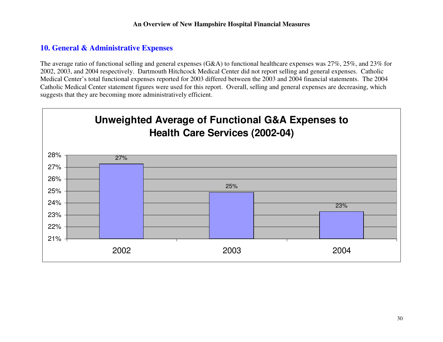# **10. General & Administrative Expenses**

The average ratio of functional selling and general expenses (G&A) to functional healthcare expenses was 27%, 25%, and 23% for 2002, 2003, and 2004 respectively. Dartmouth Hitchcock Medical Center did not report selling and general expenses. Catholic Medical Center's total functional expenses reported for 2003 differed between the 2003 and 2004 financial statements. The 2004 Catholic Medical Center statement figures were used for this report. Overall, selling and general expenses are decreasing, which suggests that they are becoming more administratively efficient.

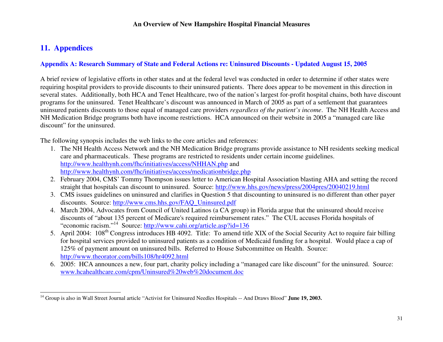# **11. Appendices**

### **Appendix A: Research Summary of State and Federal Actions re: Uninsured Discounts - Updated August 15, 2005**

A brief review of legislative efforts in other states and at the federal level was conducted in order to determine if other states were requiring hospital providers to provide discounts to their uninsured patients. There does appear to be movement in this direction in several states. Additionally, both HCA and Tenet Healthcare, two of the nation's largest for-profit hospital chains, both have discount programs for the uninsured. Tenet Healthcare's discount was announced in March of 2005 as part of a settlement that guarantees uninsured patients discounts to those equal of managed care providers *regardless of the patient's income*. The NH Health Access and NH Medication Bridge programs both have income restrictions. HCA announced on their website in 2005 a "managed care like discount" for the uninsured.

The following synopsis includes the web links to the core articles and references:

- 1. The NH Health Access Network and the NH Medication Bridge programs provide assistance to NH residents seeking medical care and pharmaceuticals. These programs are restricted to residents under certain income guidelines. http://www.healthynh.com/fhc/initiatives/access/NHHAN.php and http://www.healthynh.com/fhc/initiatives/access/medicationbridge.php
- 2. February 2004, CMS' Tommy Thompson issues letter to American Hospital Association blasting AHA and setting the record straight that hospitals can discount to uninsured. Source: http://www.hhs.gov/news/press/2004pres/20040219.html
- 3. CMS issues guidelines on uninsured and clarifies in Question 5 that discounting to uninsured is no different than other payer discounts. Source: http://www.cms.hhs.gov/FAQ\_Uninsured.pdf
- 4. March 2004, Advocates from Council of United Latinos (a CA group) in Florida argue that the uninsured should receive discounts of "about 135 percent of Medicare's required reimbursement rates." The CUL accuses Florida hospitals of "economic racism."<sup>14</sup> Source: http://www.cahi.org/article.asp?id=136
- 5. April 2004: 108<sup>th</sup> Congress introduces HB 4092. Title: To amend title XIX of the Social Security Act to require fair billing for hospital services provided to uninsured patients as a condition of Medicaid funding for a hospital. Would place a cap of 125% of payment amount on uninsured bills. Referred to House Subcommittee on Health. Source: http://www.theorator.com/bills108/hr4092.html
- 6. 2005: HCA announces a new, four part, charity policy including a "managed care like discount" for the uninsured. Source: www.hcahealthcare.com/cpm/Uninsured%20web%20document.doc

<sup>&</sup>lt;sup>14</sup> Group is also in Wall Street Journal article "Activist for Uninsured Needles Hospitals -- And Draws Blood" June 19, 2003.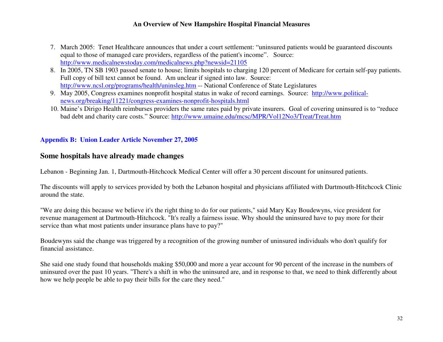- 7. March 2005: Tenet Healthcare announces that under a court settlement: "uninsured patients would be guaranteed discounts equal to those of managed care providers, regardless of the patient's income". Source: http://www.medicalnewstoday.com/medicalnews.php?newsid=21105
- 8. In 2005, TN SB 1903 passed senate to house; limits hospitals to charging 120 percent of Medicare for certain self-pay patients. Full copy of bill text cannot be found. Am unclear if signed into law. Source: http://www.ncsl.org/programs/health/uninsleg.htm -- National Conference of State Legislatures
- 9. May 2005, Congress examines nonprofit hospital status in wake of record earnings. Source: http://www.politicalnews.org/breaking/11221/congress-examines-nonprofit-hospitals.html
- 10. Maine's Dirigo Health reimburses providers the same rates paid by private insurers. Goal of covering uninsured is to "reduce bad debt and charity care costs." Source: http://www.umaine.edu/mcsc/MPR/Vol12No3/Treat/Treat.htm

### **Appendix B: Union Leader Article November 27, 2005**

# **Some hospitals have already made changes**

Lebanon - Beginning Jan. 1, Dartmouth-Hitchcock Medical Center will offer a 30 percent discount for uninsured patients.

The discounts will apply to services provided by both the Lebanon hospital and physicians affiliated with Dartmouth-Hitchcock Clinic around the state.

"We are doing this because we believe it's the right thing to do for our patients," said Mary Kay Boudewyns, vice president for revenue management at Dartmouth-Hitchcock. "It's really a fairness issue. Why should the uninsured have to pay more for their service than what most patients under insurance plans have to pay?"

Boudewyns said the change was triggered by a recognition of the growing number of uninsured individuals who don't qualify for financial assistance.

She said one study found that households making \$50,000 and more a year account for 90 percent of the increase in the numbers of uninsured over the past 10 years. "There's a shift in who the uninsured are, and in response to that, we need to think differently about how we help people be able to pay their bills for the care they need."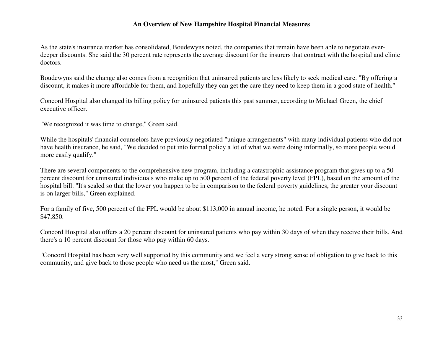As the state's insurance market has consolidated, Boudewyns noted, the companies that remain have been able to negotiate everdeeper discounts. She said the 30 percent rate represents the average discount for the insurers that contract with the hospital and clinic doctors.

Boudewyns said the change also comes from a recognition that uninsured patients are less likely to seek medical care. "By offering a discount, it makes it more affordable for them, and hopefully they can get the care they need to keep them in a good state of health."

Concord Hospital also changed its billing policy for uninsured patients this past summer, according to Michael Green, the chief executive officer.

"We recognized it was time to change," Green said.

While the hospitals' financial counselors have previously negotiated "unique arrangements" with many individual patients who did not have health insurance, he said, "We decided to put into formal policy a lot of what we were doing informally, so more people would more easily qualify."

There are several components to the comprehensive new program, including a catastrophic assistance program that gives up to a 50 percent discount for uninsured individuals who make up to 500 percent of the federal poverty level (FPL), based on the amount of the hospital bill. "It's scaled so that the lower you happen to be in comparison to the federal poverty guidelines, the greater your discount is on larger bills," Green explained.

For a family of five, 500 percent of the FPL would be about \$113,000 in annual income, he noted. For a single person, it would be \$47,850.

Concord Hospital also offers a 20 percent discount for uninsured patients who pay within 30 days of when they receive their bills. And there's a 10 percent discount for those who pay within 60 days.

"Concord Hospital has been very well supported by this community and we feel a very strong sense of obligation to give back to this community, and give back to those people who need us the most," Green said.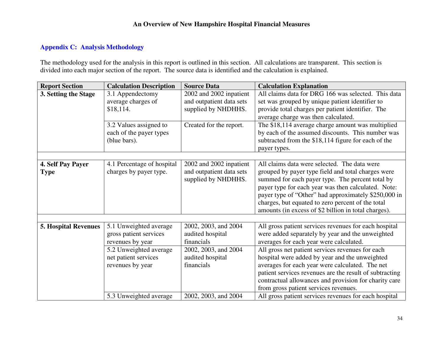### **Appendix C: Analysis Methodology**

The methodology used for the analysis in this report is outlined in this section. All calculations are transparent. This section is divided into each major section of the report. The source data is identified and the calculation is explained.

| <b>Report Section</b>            | <b>Calculation Description</b>                                       | <b>Source Data</b>                                                         | <b>Calculation Explanation</b>                                                                                                                                                                                                                                                                                                                                                     |
|----------------------------------|----------------------------------------------------------------------|----------------------------------------------------------------------------|------------------------------------------------------------------------------------------------------------------------------------------------------------------------------------------------------------------------------------------------------------------------------------------------------------------------------------------------------------------------------------|
| 3. Setting the Stage             | 3.1 Appendectomy<br>average charges of<br>\$18,114.                  | 2002 and 2002 inpatient<br>and outpatient data sets<br>supplied by NHDHHS. | All claims data for DRG 166 was selected. This data<br>set was grouped by unique patient identifier to<br>provide total charges per patient identifier. The<br>average charge was then calculated.                                                                                                                                                                                 |
|                                  | 3.2 Values assigned to<br>each of the payer types<br>(blue bars).    | Created for the report.                                                    | The \$18,114 average charge amount was multiplied<br>by each of the assumed discounts. This number was<br>subtracted from the \$18,114 figure for each of the<br>payer types.                                                                                                                                                                                                      |
|                                  |                                                                      |                                                                            |                                                                                                                                                                                                                                                                                                                                                                                    |
| 4. Self Pay Payer<br><b>Type</b> | 4.1 Percentage of hospital<br>charges by payer type.                 | 2002 and 2002 inpatient<br>and outpatient data sets<br>supplied by NHDHHS. | All claims data were selected. The data were<br>grouped by payer type field and total charges were<br>summed for each payer type. The percent total by<br>payer type for each year was then calculated. Note:<br>payer type of "Other" had approximately \$250,000 in<br>charges, but equated to zero percent of the total<br>amounts (in excess of \$2 billion in total charges). |
|                                  |                                                                      |                                                                            |                                                                                                                                                                                                                                                                                                                                                                                    |
| <b>5. Hospital Revenues</b>      | 5.1 Unweighted average<br>gross patient services<br>revenues by year | 2002, 2003, and 2004<br>audited hospital<br>financials                     | All gross patient services revenues for each hospital<br>were added separately by year and the unweighted<br>averages for each year were calculated.                                                                                                                                                                                                                               |
|                                  | 5.2 Unweighted average<br>net patient services<br>revenues by year   | 2002, 2003, and 2004<br>audited hospital<br>financials                     | All gross net patient services revenues for each<br>hospital were added by year and the unweighted<br>averages for each year were calculated. The net<br>patient services revenues are the result of subtracting<br>contractual allowances and provision for charity care<br>from gross patient services revenues.                                                                 |
|                                  | 5.3 Unweighted average                                               | 2002, 2003, and 2004                                                       | All gross patient services revenues for each hospital                                                                                                                                                                                                                                                                                                                              |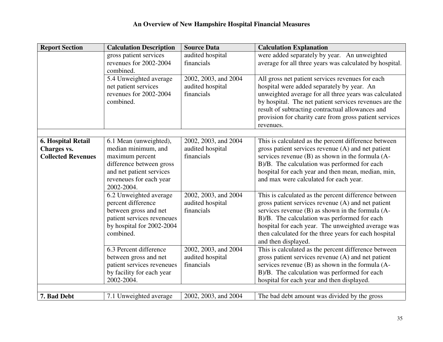| <b>Report Section</b>                    | <b>Calculation Description</b>                | <b>Source Data</b>                       | <b>Calculation Explanation</b>                                                                             |
|------------------------------------------|-----------------------------------------------|------------------------------------------|------------------------------------------------------------------------------------------------------------|
|                                          | gross patient services                        | audited hospital                         | were added separately by year. An unweighted                                                               |
|                                          | revenues for 2002-2004                        | financials                               | average for all three years was calculated by hospital.                                                    |
|                                          | combined.                                     |                                          |                                                                                                            |
|                                          | 5.4 Unweighted average                        | 2002, 2003, and 2004                     | All gross net patient services revenues for each                                                           |
|                                          | net patient services                          | audited hospital                         | hospital were added separately by year. An                                                                 |
|                                          | revenues for 2002-2004                        | financials                               | unweighted average for all three years was calculated                                                      |
|                                          | combined.                                     |                                          | by hospital. The net patient services revenues are the                                                     |
|                                          |                                               |                                          | result of subtracting contractual allowances and                                                           |
|                                          |                                               |                                          | provision for charity care from gross patient services                                                     |
|                                          |                                               |                                          | revenues.                                                                                                  |
|                                          |                                               |                                          |                                                                                                            |
| <b>6. Hospital Retail</b>                | 6.1 Mean (unweighted),<br>median minimum, and | 2002, 2003, and 2004<br>audited hospital | This is calculated as the percent difference between<br>gross patient services revenue (A) and net patient |
| Charges vs.<br><b>Collected Revenues</b> | maximum percent                               | financials                               | services revenue (B) as shown in the formula (A-                                                           |
|                                          | difference between gross                      |                                          | B)/B. The calculation was performed for each                                                               |
|                                          | and net patient services                      |                                          | hospital for each year and then mean, median, min,                                                         |
|                                          | reveneues for each year                       |                                          | and max were calculated for each year.                                                                     |
|                                          | 2002-2004.                                    |                                          |                                                                                                            |
|                                          | 6.2 Unweighted average                        | 2002, 2003, and 2004                     | This is calculated as the percent difference between                                                       |
|                                          | percent difference                            | audited hospital                         | gross patient services revenue (A) and net patient                                                         |
|                                          | between gross and net                         | financials                               | services revenue (B) as shown in the formula (A-                                                           |
|                                          | patient services reveneues                    |                                          | B)/B. The calculation was performed for each                                                               |
|                                          | by hospital for 2002-2004                     |                                          | hospital for each year. The unweighted average was                                                         |
|                                          | combined.                                     |                                          | then calculated for the three years for each hospital                                                      |
|                                          |                                               |                                          | and then displayed.                                                                                        |
|                                          | 6.3 Percent difference                        | 2002, 2003, and 2004                     | This is calculated as the percent difference between                                                       |
|                                          | between gross and net                         | audited hospital                         | gross patient services revenue (A) and net patient                                                         |
|                                          | patient services reveneues                    | financials                               | services revenue (B) as shown in the formula (A-                                                           |
|                                          | by facility for each year                     |                                          | B)/B. The calculation was performed for each                                                               |
|                                          | 2002-2004.                                    |                                          | hospital for each year and then displayed.                                                                 |
|                                          |                                               |                                          |                                                                                                            |
| 7. Bad Debt                              | 7.1 Unweighted average                        | 2002, 2003, and 2004                     | The bad debt amount was divided by the gross                                                               |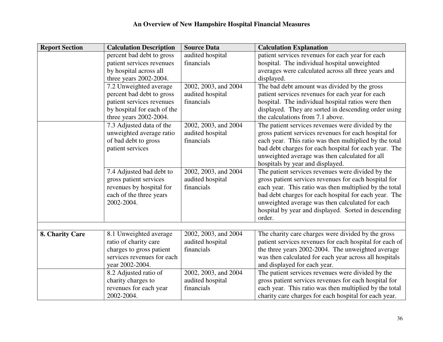| <b>Report Section</b> | <b>Calculation Description</b> | <b>Source Data</b>   | <b>Calculation Explanation</b>                          |
|-----------------------|--------------------------------|----------------------|---------------------------------------------------------|
|                       | percent bad debt to gross      | audited hospital     | patient services revenues for each year for each        |
|                       | patient services revenues      | financials           | hospital. The individual hospital unweighted            |
|                       | by hospital across all         |                      | averages were calculated across all three years and     |
|                       | three years 2002-2004.         |                      | displayed.                                              |
|                       | 7.2 Unweighted average         | 2002, 2003, and 2004 | The bad debt amount was divided by the gross            |
|                       | percent bad debt to gross      | audited hospital     | patient services revenues for each year for each        |
|                       | patient services revenues      | financials           | hospital. The individual hospital ratios were then      |
|                       | by hospital for each of the    |                      | displayed. They are sorted in descending order using    |
|                       | three years 2002-2004.         |                      | the calculations from 7.1 above.                        |
|                       | 7.3 Adjusted data of the       | 2002, 2003, and 2004 | The patient services revenues were divided by the       |
|                       | unweighted average ratio       | audited hospital     | gross patient services revenues for each hospital for   |
|                       | of bad debt to gross           | financials           | each year. This ratio was then multiplied by the total  |
|                       | patient services               |                      | bad debt charges for each hospital for each year. The   |
|                       |                                |                      | unweighted average was then calculated for all          |
|                       |                                |                      | hospitals by year and displayed.                        |
|                       | 7.4 Adjusted bad debt to       | 2002, 2003, and 2004 | The patient services revenues were divided by the       |
|                       | gross patient services         | audited hospital     | gross patient services revenues for each hospital for   |
|                       | revenues by hospital for       | financials           | each year. This ratio was then multiplied by the total  |
|                       | each of the three years        |                      | bad debt charges for each hospital for each year. The   |
|                       | 2002-2004.                     |                      | unweighted average was then calculated for each         |
|                       |                                |                      | hospital by year and displayed. Sorted in descending    |
|                       |                                |                      | order.                                                  |
|                       |                                |                      |                                                         |
| 8. Charity Care       | 8.1 Unweighted average         | 2002, 2003, and 2004 | The charity care charges were divided by the gross      |
|                       | ratio of charity care          | audited hospital     | patient services revenues for each hospital for each of |
|                       | charges to gross patient       | financials           | the three years 2002-2004. The unweighted average       |
|                       | services revenues for each     |                      | was then calculated for each year across all hospitals  |
|                       | year 2002-2004.                |                      | and displayed for each year.                            |
|                       | 8.2 Adjusted ratio of          | 2002, 2003, and 2004 | The patient services revenues were divided by the       |
|                       | charity charges to             | audited hospital     | gross patient services revenues for each hospital for   |
|                       | revenues for each year         | financials           | each year. This ratio was then multiplied by the total  |
|                       | 2002-2004.                     |                      | charity care charges for each hospital for each year.   |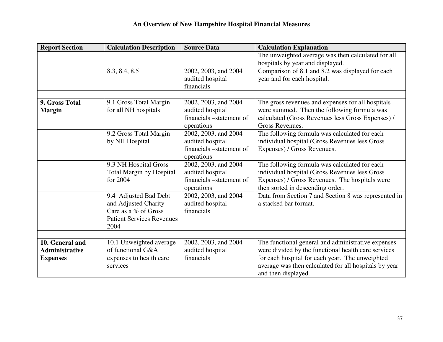| <b>Report Section</b> | <b>Calculation Description</b>   | <b>Source Data</b>       | <b>Calculation Explanation</b>                        |
|-----------------------|----------------------------------|--------------------------|-------------------------------------------------------|
|                       |                                  |                          | The unweighted average was then calculated for all    |
|                       |                                  |                          | hospitals by year and displayed.                      |
|                       | 8.3, 8.4, 8.5                    | 2002, 2003, and 2004     | Comparison of 8.1 and 8.2 was displayed for each      |
|                       |                                  | audited hospital         | year and for each hospital.                           |
|                       |                                  | financials               |                                                       |
|                       |                                  |                          |                                                       |
| 9. Gross Total        | 9.1 Gross Total Margin           | 2002, 2003, and 2004     | The gross revenues and expenses for all hospitals     |
| <b>Margin</b>         | for all NH hospitals             | audited hospital         | were summed. Then the following formula was           |
|                       |                                  | financials –statement of | calculated (Gross Revenues less Gross Expenses) /     |
|                       |                                  | operations               | Gross Revenues.                                       |
|                       | 9.2 Gross Total Margin           | 2002, 2003, and 2004     | The following formula was calculated for each         |
|                       | by NH Hospital                   | audited hospital         | individual hospital (Gross Revenues less Gross        |
|                       |                                  | financials –statement of | Expenses) / Gross Revenues.                           |
|                       |                                  | operations               |                                                       |
|                       | 9.3 NH Hospital Gross            | 2002, 2003, and 2004     | The following formula was calculated for each         |
|                       | Total Margin by Hospital         | audited hospital         | individual hospital (Gross Revenues less Gross        |
|                       | for 2004                         | financials –statement of | Expenses) / Gross Revenues. The hospitals were        |
|                       |                                  | operations               | then sorted in descending order.                      |
|                       | 9.4 Adjusted Bad Debt            | 2002, 2003, and 2004     | Data from Section 7 and Section 8 was represented in  |
|                       | and Adjusted Charity             | audited hospital         | a stacked bar format.                                 |
|                       | Care as a % of Gross             | financials               |                                                       |
|                       | <b>Patient Services Revenues</b> |                          |                                                       |
|                       | 2004                             |                          |                                                       |
|                       |                                  |                          |                                                       |
| 10. General and       | 10.1 Unweighted average          | 2002, 2003, and 2004     | The functional general and administrative expenses    |
| <b>Administrative</b> | of functional G&A                | audited hospital         | were divided by the functional health care services   |
| <b>Expenses</b>       | expenses to health care          | financials               | for each hospital for each year. The unweighted       |
|                       | services                         |                          | average was then calculated for all hospitals by year |
|                       |                                  |                          | and then displayed.                                   |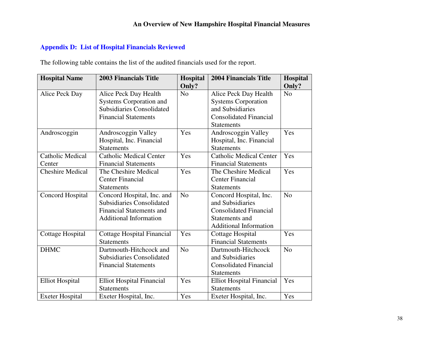### **Appendix D: List of Hospital Financials Reviewed**

The following table contains the list of the audited financials used for the report.

| <b>Hospital Name</b>    | <b>2003 Financials Title</b>     | Hospital       | <b>2004 Financials Title</b>     | Hospital       |
|-------------------------|----------------------------------|----------------|----------------------------------|----------------|
|                         |                                  | Only?          |                                  | Only?          |
| Alice Peck Day          | Alice Peck Day Health            | N <sub>o</sub> | Alice Peck Day Health            | N <sub>o</sub> |
|                         | <b>Systems Corporation and</b>   |                | <b>Systems Corporation</b>       |                |
|                         | <b>Subsidiaries Consolidated</b> |                | and Subsidiaries                 |                |
|                         | <b>Financial Statements</b>      |                | <b>Consolidated Financial</b>    |                |
|                         |                                  |                | <b>Statements</b>                |                |
| Androscoggin            | Androscoggin Valley              | Yes            | Androscoggin Valley              | Yes            |
|                         | Hospital, Inc. Financial         |                | Hospital, Inc. Financial         |                |
|                         | <b>Statements</b>                |                | <b>Statements</b>                |                |
| <b>Catholic Medical</b> | <b>Catholic Medical Center</b>   | Yes            | <b>Catholic Medical Center</b>   | Yes            |
| Center                  | <b>Financial Statements</b>      |                | <b>Financial Statements</b>      |                |
| <b>Cheshire Medical</b> | The Cheshire Medical             | Yes            | The Cheshire Medical             | Yes            |
|                         | <b>Center Financial</b>          |                | <b>Center Financial</b>          |                |
|                         | <b>Statements</b>                |                | <b>Statements</b>                |                |
| Concord Hospital        | Concord Hospital, Inc. and       | N <sub>o</sub> | Concord Hospital, Inc.           | N <sub>o</sub> |
|                         | <b>Subsidiaries Consolidated</b> |                | and Subsidiaries                 |                |
|                         | <b>Financial Statements and</b>  |                | <b>Consolidated Financial</b>    |                |
|                         | <b>Additional Information</b>    |                | Statements and                   |                |
|                         |                                  |                | <b>Additional Information</b>    |                |
| Cottage Hospital        | Cottage Hospital Financial       | Yes            | Cottage Hospital                 | Yes            |
|                         | <b>Statements</b>                |                | <b>Financial Statements</b>      |                |
| <b>DHMC</b>             | Dartmouth-Hitchcock and          | N <sub>o</sub> | Dartmouth-Hitchcock              | N <sub>o</sub> |
|                         | <b>Subsidiaries Consolidated</b> |                | and Subsidiaries                 |                |
|                         | <b>Financial Statements</b>      |                | <b>Consolidated Financial</b>    |                |
|                         |                                  |                | <b>Statements</b>                |                |
| <b>Elliot Hospital</b>  | <b>Elliot Hospital Financial</b> | Yes            | <b>Elliot Hospital Financial</b> | Yes            |
|                         | <b>Statements</b>                |                | <b>Statements</b>                |                |
| <b>Exeter Hospital</b>  | Exeter Hospital, Inc.            | Yes            | Exeter Hospital, Inc.            | Yes            |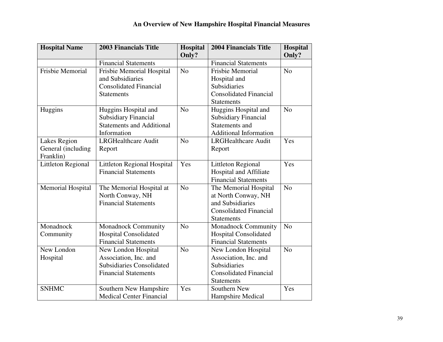| <b>Hospital Name</b>     | <b>2003 Financials Title</b>       | Hospital<br>Only? | <b>2004 Financials Title</b>  | <b>Hospital</b><br>Only? |
|--------------------------|------------------------------------|-------------------|-------------------------------|--------------------------|
|                          | <b>Financial Statements</b>        |                   | <b>Financial Statements</b>   |                          |
| Frisbie Memorial         | Frisbie Memorial Hospital          | N <sub>o</sub>    | Frisbie Memorial              | N <sub>o</sub>           |
|                          | and Subsidiaries                   |                   | Hospital and                  |                          |
|                          | <b>Consolidated Financial</b>      |                   | Subsidiaries                  |                          |
|                          | <b>Statements</b>                  |                   | <b>Consolidated Financial</b> |                          |
|                          |                                    |                   | <b>Statements</b>             |                          |
| Huggins                  | Huggins Hospital and               | N <sub>o</sub>    | Huggins Hospital and          | N <sub>o</sub>           |
|                          | <b>Subsidiary Financial</b>        |                   | <b>Subsidiary Financial</b>   |                          |
|                          | <b>Statements and Additional</b>   |                   | Statements and                |                          |
|                          | Information                        |                   | <b>Additional Information</b> |                          |
| Lakes Region             | <b>LRGHealthcare Audit</b>         | N <sub>o</sub>    | <b>LRGHealthcare Audit</b>    | Yes                      |
| General (including       | Report                             |                   | Report                        |                          |
| Franklin)                |                                    |                   |                               |                          |
| Littleton Regional       | <b>Littleton Regional Hospital</b> | Yes               | <b>Littleton Regional</b>     | Yes                      |
|                          | <b>Financial Statements</b>        |                   | Hospital and Affiliate        |                          |
|                          |                                    |                   | <b>Financial Statements</b>   |                          |
| <b>Memorial Hospital</b> | The Memorial Hospital at           | N <sub>o</sub>    | The Memorial Hospital         | N <sub>o</sub>           |
|                          | North Conway, NH                   |                   | at North Conway, NH           |                          |
|                          | <b>Financial Statements</b>        |                   | and Subsidiaries              |                          |
|                          |                                    |                   | <b>Consolidated Financial</b> |                          |
|                          |                                    |                   | <b>Statements</b>             |                          |
| Monadnock                | <b>Monadnock Community</b>         | N <sub>o</sub>    | <b>Monadnock Community</b>    | N <sub>o</sub>           |
| Community                | <b>Hospital Consolidated</b>       |                   | <b>Hospital Consolidated</b>  |                          |
|                          | <b>Financial Statements</b>        |                   | <b>Financial Statements</b>   |                          |
| New London               | New London Hospital                | N <sub>o</sub>    | New London Hospital           | N <sub>o</sub>           |
| Hospital                 | Association, Inc. and              |                   | Association, Inc. and         |                          |
|                          | <b>Subsidiaries Consolidated</b>   |                   | Subsidiaries                  |                          |
|                          | <b>Financial Statements</b>        |                   | <b>Consolidated Financial</b> |                          |
|                          |                                    |                   | <b>Statements</b>             |                          |
| <b>SNHMC</b>             | Southern New Hampshire             | Yes               | Southern New                  | Yes                      |
|                          | <b>Medical Center Financial</b>    |                   | Hampshire Medical             |                          |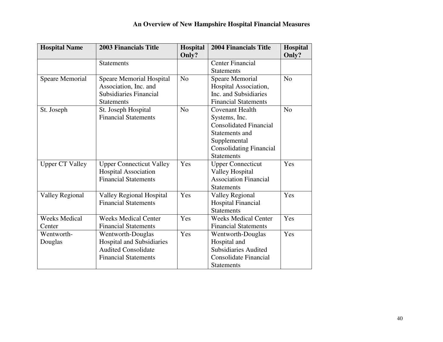| <b>Hospital Name</b>   | <b>2003 Financials Title</b>    | Hospital       | <b>2004 Financials Title</b>   | <b>Hospital</b> |
|------------------------|---------------------------------|----------------|--------------------------------|-----------------|
|                        |                                 | Only?          |                                | Only?           |
|                        | <b>Statements</b>               |                | <b>Center Financial</b>        |                 |
|                        |                                 |                | <b>Statements</b>              |                 |
| <b>Speare Memorial</b> | <b>Speare Memorial Hospital</b> | N <sub>o</sub> | <b>Speare Memorial</b>         | N <sub>0</sub>  |
|                        | Association, Inc. and           |                | Hospital Association,          |                 |
|                        | Subsidiaries Financial          |                | Inc. and Subsidiaries          |                 |
|                        | <b>Statements</b>               |                | <b>Financial Statements</b>    |                 |
| St. Joseph             | St. Joseph Hospital             | N <sub>0</sub> | <b>Covenant Health</b>         | N <sub>o</sub>  |
|                        | <b>Financial Statements</b>     |                | Systems, Inc.                  |                 |
|                        |                                 |                | <b>Consolidated Financial</b>  |                 |
|                        |                                 |                | Statements and                 |                 |
|                        |                                 |                | Supplemental                   |                 |
|                        |                                 |                | <b>Consolidating Financial</b> |                 |
|                        |                                 |                | <b>Statements</b>              |                 |
| <b>Upper CT Valley</b> | <b>Upper Connecticut Valley</b> | Yes            | <b>Upper Connecticut</b>       | Yes             |
|                        | <b>Hospital Association</b>     |                | <b>Valley Hospital</b>         |                 |
|                        | <b>Financial Statements</b>     |                | <b>Association Financial</b>   |                 |
|                        |                                 |                | <b>Statements</b>              |                 |
| <b>Valley Regional</b> | <b>Valley Regional Hospital</b> | Yes            | <b>Valley Regional</b>         | Yes             |
|                        | <b>Financial Statements</b>     |                | <b>Hospital Financial</b>      |                 |
|                        |                                 |                | <b>Statements</b>              |                 |
| <b>Weeks Medical</b>   | <b>Weeks Medical Center</b>     | Yes            | <b>Weeks Medical Center</b>    | Yes             |
| Center                 | <b>Financial Statements</b>     |                | <b>Financial Statements</b>    |                 |
| Wentworth-             | Wentworth-Douglas               | Yes            | Wentworth-Douglas              | Yes             |
| Douglas                | Hospital and Subsidiaries       |                | Hospital and                   |                 |
|                        | <b>Audited Consolidate</b>      |                | <b>Subsidiaries Audited</b>    |                 |
|                        | <b>Financial Statements</b>     |                | Consolidate Financial          |                 |
|                        |                                 |                | <b>Statements</b>              |                 |